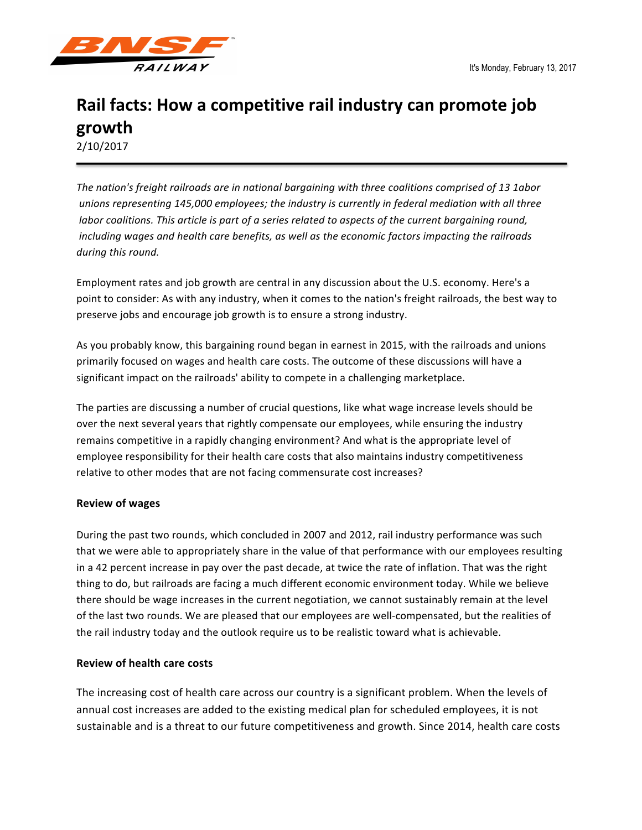

# Rail facts: How a competitive rail industry can promote job **growth**

2/10/2017

The nation's freight railroads are in national bargaining with three coalitions comprised of 13 1abor unions representing 145,000 employees; the industry is currently in federal mediation with all three *labor* coalitions. This article is part of a series related to aspects of the current bargaining round, *including* wages and health care benefits, as well as the economic factors impacting the railroads during this round.

Employment rates and job growth are central in any discussion about the U.S. economy. Here's a point to consider: As with any industry, when it comes to the nation's freight railroads, the best way to preserve jobs and encourage job growth is to ensure a strong industry.

As you probably know, this bargaining round began in earnest in 2015, with the railroads and unions primarily focused on wages and health care costs. The outcome of these discussions will have a significant impact on the railroads' ability to compete in a challenging marketplace.

The parties are discussing a number of crucial questions, like what wage increase levels should be over the next several years that rightly compensate our employees, while ensuring the industry remains competitive in a rapidly changing environment? And what is the appropriate level of employee responsibility for their health care costs that also maintains industry competitiveness relative to other modes that are not facing commensurate cost increases?

# **Review of wages**

During the past two rounds, which concluded in 2007 and 2012, rail industry performance was such that we were able to appropriately share in the value of that performance with our employees resulting in a 42 percent increase in pay over the past decade, at twice the rate of inflation. That was the right thing to do, but railroads are facing a much different economic environment today. While we believe there should be wage increases in the current negotiation, we cannot sustainably remain at the level of the last two rounds. We are pleased that our employees are well-compensated, but the realities of the rail industry today and the outlook require us to be realistic toward what is achievable.

### **Review of health care costs**

The increasing cost of health care across our country is a significant problem. When the levels of annual cost increases are added to the existing medical plan for scheduled employees, it is not sustainable and is a threat to our future competitiveness and growth. Since 2014, health care costs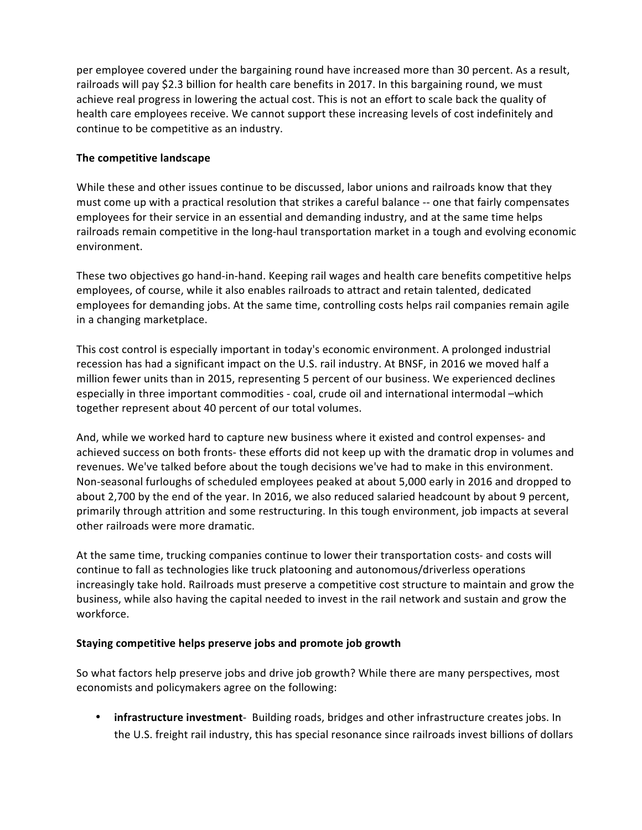per employee covered under the bargaining round have increased more than 30 percent. As a result, railroads will pay \$2.3 billion for health care benefits in 2017. In this bargaining round, we must achieve real progress in lowering the actual cost. This is not an effort to scale back the quality of health care employees receive. We cannot support these increasing levels of cost indefinitely and continue to be competitive as an industry.

# **The competitive landscape**

While these and other issues continue to be discussed, labor unions and railroads know that they must come up with a practical resolution that strikes a careful balance -- one that fairly compensates employees for their service in an essential and demanding industry, and at the same time helps railroads remain competitive in the long-haul transportation market in a tough and evolving economic environment.

These two objectives go hand-in-hand. Keeping rail wages and health care benefits competitive helps employees, of course, while it also enables railroads to attract and retain talented, dedicated employees for demanding jobs. At the same time, controlling costs helps rail companies remain agile in a changing marketplace.

This cost control is especially important in today's economic environment. A prolonged industrial recession has had a significant impact on the U.S. rail industry. At BNSF, in 2016 we moved half a million fewer units than in 2015, representing 5 percent of our business. We experienced declines especially in three important commodities - coal, crude oil and international intermodal –which together represent about 40 percent of our total volumes.

And, while we worked hard to capture new business where it existed and control expenses- and achieved success on both fronts- these efforts did not keep up with the dramatic drop in volumes and revenues. We've talked before about the tough decisions we've had to make in this environment. Non-seasonal furloughs of scheduled employees peaked at about 5,000 early in 2016 and dropped to about 2,700 by the end of the year. In 2016, we also reduced salaried headcount by about 9 percent, primarily through attrition and some restructuring. In this tough environment, job impacts at several other railroads were more dramatic.

At the same time, trucking companies continue to lower their transportation costs- and costs will continue to fall as technologies like truck platooning and autonomous/driverless operations increasingly take hold. Railroads must preserve a competitive cost structure to maintain and grow the business, while also having the capital needed to invest in the rail network and sustain and grow the workforce.

# **Staying competitive helps preserve jobs and promote job growth**

So what factors help preserve jobs and drive job growth? While there are many perspectives, most economists and policymakers agree on the following:

• **infrastructure investment**- Building roads, bridges and other infrastructure creates jobs. In the U.S. freight rail industry, this has special resonance since railroads invest billions of dollars